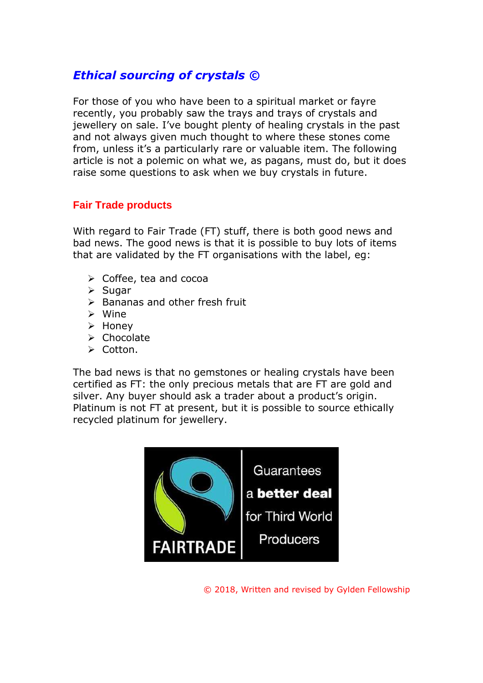# *Ethical sourcing of crystals ©*

For those of you who have been to a spiritual market or fayre recently, you probably saw the trays and trays of crystals and jewellery on sale. I've bought plenty of healing crystals in the past and not always given much thought to where these stones come from, unless it's a particularly rare or valuable item. The following article is not a polemic on what we, as pagans, must do, but it does raise some questions to ask when we buy crystals in future.

### **Fair Trade products**

With regard to Fair Trade (FT) stuff, there is both good news and bad news. The good news is that it is possible to buy lots of items that are validated by the FT organisations with the label, eg:

- $\triangleright$  Coffee, tea and cocoa
- ➢ Sugar
- $\triangleright$  Bananas and other fresh fruit
- ➢ Wine
- ➢ Honey
- ➢ Chocolate
- ➢ Cotton.

The bad news is that no gemstones or healing crystals have been certified as FT: the only precious metals that are FT are gold and silver. Any buyer should ask a trader about a product's origin. Platinum is not FT at present, but it is possible to source ethically recycled platinum for jewellery.



© 2018, Written and revised by Gylden Fellowship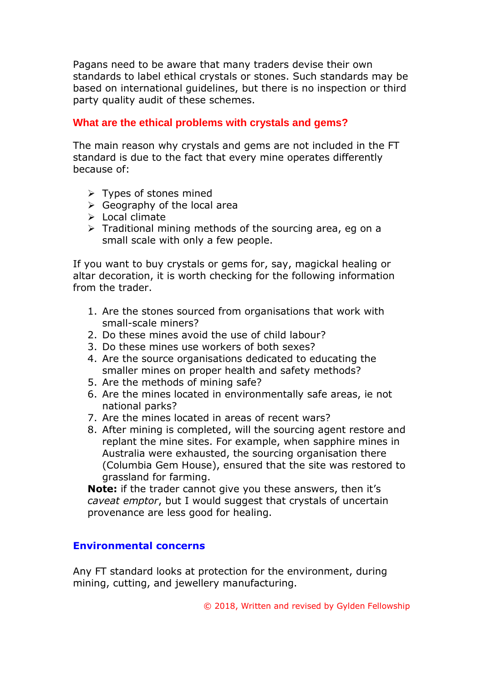Pagans need to be aware that many traders devise their own standards to label ethical crystals or stones. Such standards may be based on international guidelines, but there is no inspection or third party quality audit of these schemes.

## **What are the ethical problems with crystals and gems?**

The main reason why crystals and gems are not included in the FT standard is due to the fact that every mine operates differently because of:

- ➢ Types of stones mined
- $\triangleright$  Geography of the local area
- ➢ Local climate
- ➢ Traditional mining methods of the sourcing area, eg on a small scale with only a few people.

If you want to buy crystals or gems for, say, magickal healing or altar decoration, it is worth checking for the following information from the trader.

- 1. Are the stones sourced from organisations that work with small-scale miners?
- 2. Do these mines avoid the use of child labour?
- 3. Do these mines use workers of both sexes?
- 4. Are the source organisations dedicated to educating the smaller mines on proper health and safety methods?
- 5. Are the methods of mining safe?
- 6. Are the mines located in environmentally safe areas, ie not national parks?
- 7. Are the mines located in areas of recent wars?
- 8. After mining is completed, will the sourcing agent restore and replant the mine sites. For example, when sapphire mines in Australia were exhausted, the sourcing organisation there (Columbia Gem House), ensured that the site was restored to grassland for farming.

**Note:** if the trader cannot give you these answers, then it's *caveat emptor*, but I would suggest that crystals of uncertain provenance are less good for healing.

#### **Environmental concerns**

Any FT standard looks at protection for the environment, during mining, cutting, and jewellery manufacturing.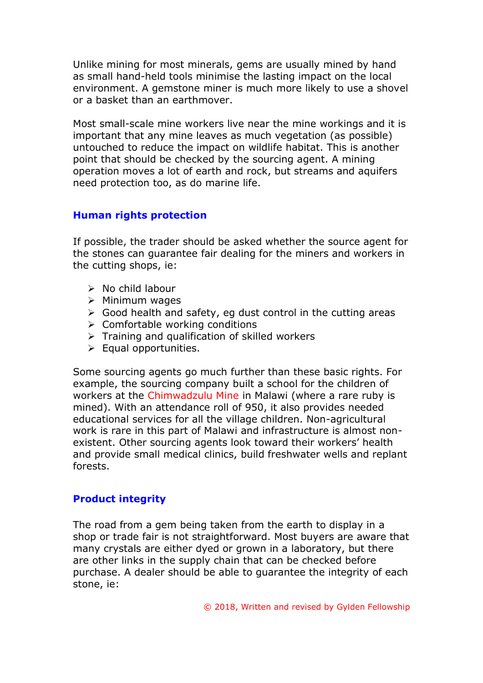Unlike mining for most minerals, gems are usually mined by hand as small hand-held tools minimise the lasting impact on the local environment. A gemstone miner is much more likely to use a shovel or a basket than an earthmover.

Most small-scale mine workers live near the mine workings and it is important that any mine leaves as much vegetation (as possible) untouched to reduce the impact on wildlife habitat. This is another point that should be checked by the sourcing agent. A mining operation moves a lot of earth and rock, but streams and aquifers need protection too, as do marine life.

### **Human rights protection**

If possible, the trader should be asked whether the source agent for the stones can guarantee fair dealing for the miners and workers in the cutting shops, ie:

- ➢ No child labour
- ➢ Minimum wages
- $\triangleright$  Good health and safety, eg dust control in the cutting areas
- $\triangleright$  Comfortable working conditions
- $\triangleright$  Training and qualification of skilled workers
- $\triangleright$  Equal opportunities.

Some sourcing agents go much further than these basic rights. For example, the sourcing company built a school for the children of workers at the Chimwadzulu Mine in Malawi (where a rare ruby is mined). With an attendance roll of 950, it also provides needed educational services for all the village children. Non-agricultural work is rare in this part of Malawi and infrastructure is almost nonexistent. Other sourcing agents look toward their workers' health and provide small medical clinics, build freshwater wells and replant forests.

# **Product integrity**

The road from a gem being taken from the earth to display in a shop or trade fair is not straightforward. Most buyers are aware that many crystals are either dyed or grown in a laboratory, but there are other links in the supply chain that can be checked before purchase. A dealer should be able to guarantee the integrity of each stone, ie: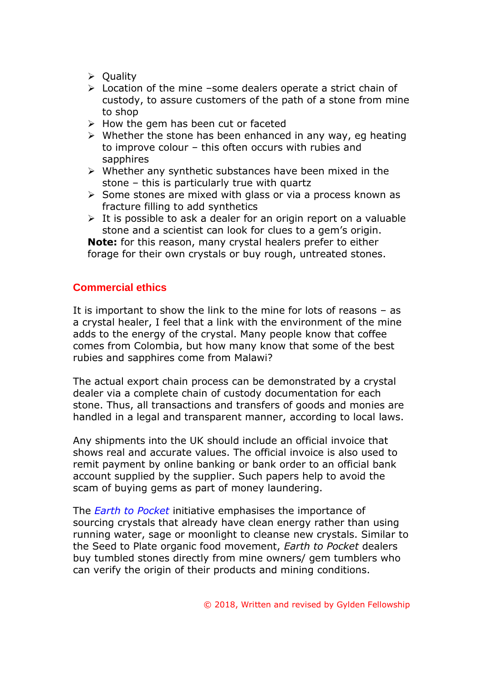- ➢ Quality
- ➢ Location of the mine –some dealers operate a strict chain of custody, to assure customers of the path of a stone from mine to shop
- ➢ How the gem has been cut or faceted
- $\triangleright$  Whether the stone has been enhanced in any way, eq heating to improve colour – this often occurs with rubies and sapphires
- ➢ Whether any synthetic substances have been mixed in the stone – this is particularly true with quartz
- ➢ Some stones are mixed with glass or via a process known as fracture filling to add synthetics
- $\triangleright$  It is possible to ask a dealer for an origin report on a valuable stone and a scientist can look for clues to a gem's origin.

**Note:** for this reason, many crystal healers prefer to either forage for their own crystals or buy rough, untreated stones.

#### **Commercial ethics**

It is important to show the link to the mine for lots of reasons – as a crystal healer, I feel that a link with the environment of the mine adds to the energy of the crystal. Many people know that coffee comes from Colombia, but how many know that some of the best rubies and sapphires come from Malawi?

The actual export chain process can be demonstrated by a crystal dealer via a complete chain of custody documentation for each stone. Thus, all transactions and transfers of goods and monies are handled in a legal and transparent manner, according to local laws.

Any shipments into the UK should include an official invoice that shows real and accurate values. The official invoice is also used to remit payment by online banking or bank order to an official bank account supplied by the supplier. Such papers help to avoid the scam of buying gems as part of money laundering.

The *Earth to Pocket* initiative emphasises the importance of sourcing crystals that already have clean energy rather than using running water, sage or moonlight to cleanse new crystals. Similar to the Seed to Plate organic food movement, *Earth to Pocket* dealers buy tumbled stones directly from mine owners/ gem tumblers who can verify the origin of their products and mining conditions.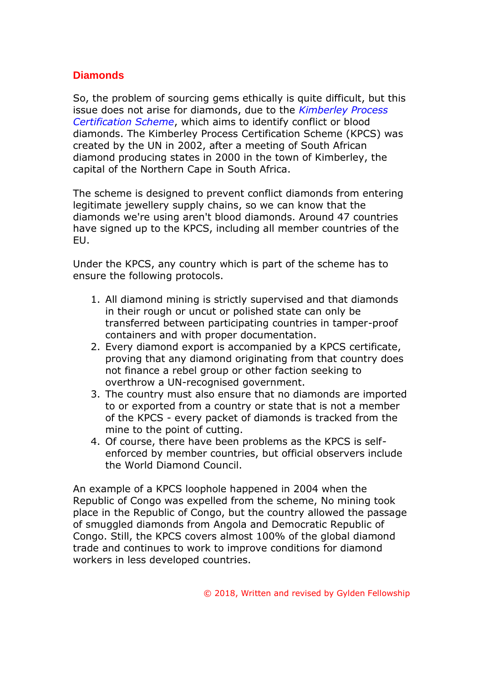### **Diamonds**

So, the problem of sourcing gems ethically is quite difficult, but this issue does not arise for diamonds, due to the *Kimberley Process Certification Scheme*, which aims to identify conflict or blood diamonds. The Kimberley Process Certification Scheme (KPCS) was created by the UN in 2002, after a meeting of South African diamond producing states in 2000 in the town of Kimberley, the capital of the Northern Cape in South Africa.

The scheme is designed to prevent conflict diamonds from entering legitimate jewellery supply chains, so we can know that the diamonds we're using aren't blood diamonds. Around 47 countries have signed up to the KPCS, including all member countries of the EU.

Under the KPCS, any country which is part of the scheme has to ensure the following protocols.

- 1. All diamond mining is strictly supervised and that diamonds in their rough or uncut or polished state can only be transferred between participating countries in tamper-proof containers and with proper documentation.
- 2. Every diamond export is accompanied by a KPCS certificate, proving that any diamond originating from that country does not finance a rebel group or other faction seeking to overthrow a UN-recognised government.
- 3. The country must also ensure that no diamonds are imported to or exported from a country or state that is not a member of the KPCS - every packet of diamonds is tracked from the mine to the point of cutting.
- 4. Of course, there have been problems as the KPCS is selfenforced by member countries, but official observers include the World Diamond Council.

An example of a KPCS loophole happened in 2004 when the Republic of Congo was expelled from the scheme, No mining took place in the Republic of Congo, but the country allowed the passage of smuggled diamonds from Angola and Democratic Republic of Congo. Still, the KPCS covers almost 100% of the global diamond trade and continues to work to improve conditions for diamond workers in less developed countries.